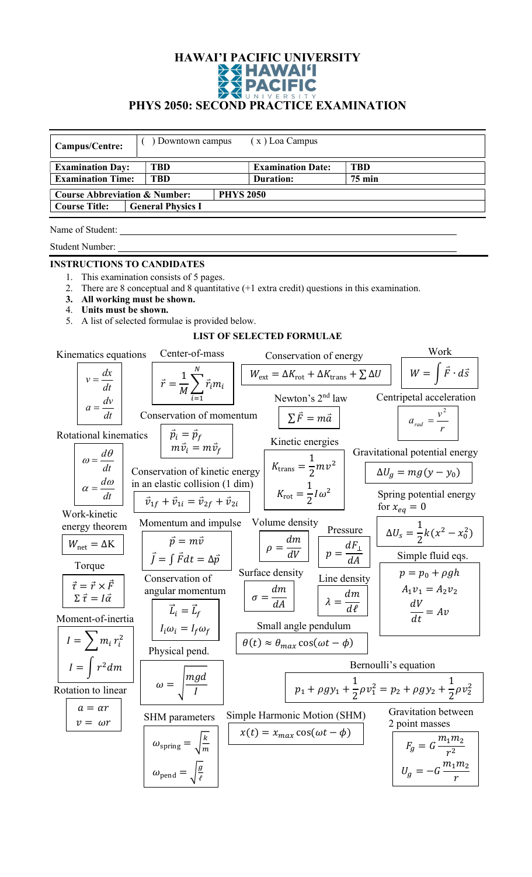## HAWAI'I PACIFIC UNIVERSITY PHYS 2050: SECOND PRACTICE EXAMINATION

| $(x)$ Loa Campus<br>) Downtown campus<br>Campus/Centre:                       |                                                             |                                                                                                      |                                                                                         |  |  |
|-------------------------------------------------------------------------------|-------------------------------------------------------------|------------------------------------------------------------------------------------------------------|-----------------------------------------------------------------------------------------|--|--|
| <b>Examination Day:</b>                                                       | <b>TBD</b>                                                  | <b>Examination Date:</b>                                                                             | <b>TBD</b>                                                                              |  |  |
| <b>Examination Time:</b><br><b>TBD</b>                                        |                                                             | <b>Duration:</b>                                                                                     | <b>75 min</b>                                                                           |  |  |
| <b>Course Abbreviation &amp; Number:</b>                                      |                                                             | <b>PHYS 2050</b>                                                                                     |                                                                                         |  |  |
| <b>Course Title:</b>                                                          | <b>General Physics I</b>                                    |                                                                                                      |                                                                                         |  |  |
| Name of Student:                                                              |                                                             |                                                                                                      |                                                                                         |  |  |
| Student Number:                                                               |                                                             |                                                                                                      |                                                                                         |  |  |
| <b>INSTRUCTIONS TO CANDIDATES</b>                                             |                                                             |                                                                                                      |                                                                                         |  |  |
| 1.<br>2.                                                                      | This examination consists of 5 pages.                       | There are 8 conceptual and 8 quantitative $(+1 \text{ extra credit})$ questions in this examination. |                                                                                         |  |  |
| All working must be shown.<br>3.                                              |                                                             |                                                                                                      |                                                                                         |  |  |
| Units must be shown.<br>4.                                                    |                                                             |                                                                                                      |                                                                                         |  |  |
| 5.                                                                            | A list of selected formulae is provided below.              |                                                                                                      |                                                                                         |  |  |
|                                                                               |                                                             | <b>LIST OF SELECTED FORMULAE</b>                                                                     |                                                                                         |  |  |
| Kinematics equations                                                          | Center-of-mass                                              | Conservation of energy                                                                               | Work                                                                                    |  |  |
| $v = \frac{dx}{dt}$                                                           | $\vec{r} = \frac{1}{M} \sum_{i=1}^{N} \vec{r}_i m_i$        | $W_{\text{ext}} = \Delta K_{\text{rot}} + \Delta K_{\text{trans}} + \sum \Delta U$                   | $W = \int \vec{F} \cdot d\vec{s}$                                                       |  |  |
| $a = \frac{dv}{dt}$                                                           |                                                             | Newton's 2 <sup>nd</sup> law                                                                         | Centripetal acceleration                                                                |  |  |
|                                                                               | Conservation of momentum                                    | $\sum \vec{F} = m\vec{a}$                                                                            | $a_{rad} = \frac{v^2}{r}$                                                               |  |  |
| Rotational kinematics                                                         | $\vec{p}_i = \vec{p}_f$                                     | Kinetic energies                                                                                     |                                                                                         |  |  |
|                                                                               | $m\vec{v}_i = m\vec{v}_f$                                   |                                                                                                      | Gravitational potential energy                                                          |  |  |
| $\omega = \frac{d\theta}{dt}$                                                 | Conservation of kinetic energy                              | $K_{\text{trans}} = \frac{1}{2}mv^2$                                                                 | $\Delta U_g = mg(y - y_0)$                                                              |  |  |
| $\alpha = \frac{d\omega}{d\omega}$                                            | in an elastic collision (1 dim)                             |                                                                                                      |                                                                                         |  |  |
| dt<br>Work-kinetic                                                            | $\vec{v}_{1f} + \vec{v}_{1i} = \vec{v}_{2f} + \vec{v}_{2i}$ | $K_{\rm rot} = \frac{1}{2}I\omega^2$                                                                 | Spring potential energy<br>for $x_{eq} = 0$                                             |  |  |
| energy theorem                                                                | Momentum and impulse Volume density                         |                                                                                                      |                                                                                         |  |  |
| $W_{\text{net}} = \Delta K$                                                   | $\vec{p} = m\vec{v}$                                        | Pressure                                                                                             | $\Delta U_s = \frac{1}{2}k(x^2 - x_0^2)$                                                |  |  |
| Torque                                                                        | $\vec{J} = \int \vec{F} dt = \Delta \vec{p}$                | $\rho = \frac{dm}{dV}$<br>$p = \frac{dF_{\perp}}{dA}$                                                | Simple fluid eqs.                                                                       |  |  |
|                                                                               | Conservation of                                             | Surface density<br>Line density                                                                      | $p = p_0 + \rho gh$                                                                     |  |  |
| $\vec{\tau} = \vec{r} \times \vec{F}$<br>$\Sigma \vec{\tau} = I \vec{\alpha}$ | angular momentum                                            | $\sigma = \frac{dm}{dA}$                                                                             | $A_1v_1 = A_2v_2$                                                                       |  |  |
|                                                                               | $\vec{L}_i = \vec{L}_f$                                     | $\lambda = \frac{dm}{d\ell}$                                                                         | $\frac{dV}{dt} = Av$                                                                    |  |  |
| Moment-of-inertia                                                             |                                                             | Small angle pendulum                                                                                 |                                                                                         |  |  |
| $I = \sum m_i r_i^2$                                                          | $I_i\omega_i = I_f\omega_f$                                 | $\theta(t) \approx \theta_{max} \cos(\omega t - \phi)$                                               |                                                                                         |  |  |
| $I = \int r^2 dm$                                                             | Physical pend.                                              |                                                                                                      | Bernoulli's equation                                                                    |  |  |
|                                                                               | $\omega = \sqrt{\frac{mgd}{I}}$                             |                                                                                                      |                                                                                         |  |  |
| Rotation to linear                                                            |                                                             |                                                                                                      | $p_1 + \rho g y_1 + \frac{1}{2} \rho v_1^2 = p_2 + \rho g y_2 + \frac{1}{2} \rho v_2^2$ |  |  |
| $a = ar$<br>$v = \omega r$                                                    | <b>SHM</b> parameters                                       | Simple Harmonic Motion (SHM)                                                                         | Gravitation between<br>2 point masses                                                   |  |  |
|                                                                               | $\omega_{\text{spring}} = \sqrt{\frac{k}{m}}$               | $x(t) = x_{max} \cos(\omega t - \phi)$                                                               | $F_g = G \frac{m_1 m_2}{r^2}$                                                           |  |  |
|                                                                               | $\omega_{\text{pend}} = \sqrt{\frac{g}{\ell}}$              |                                                                                                      | $U_g = -G \frac{m_1 m_2}{r}$                                                            |  |  |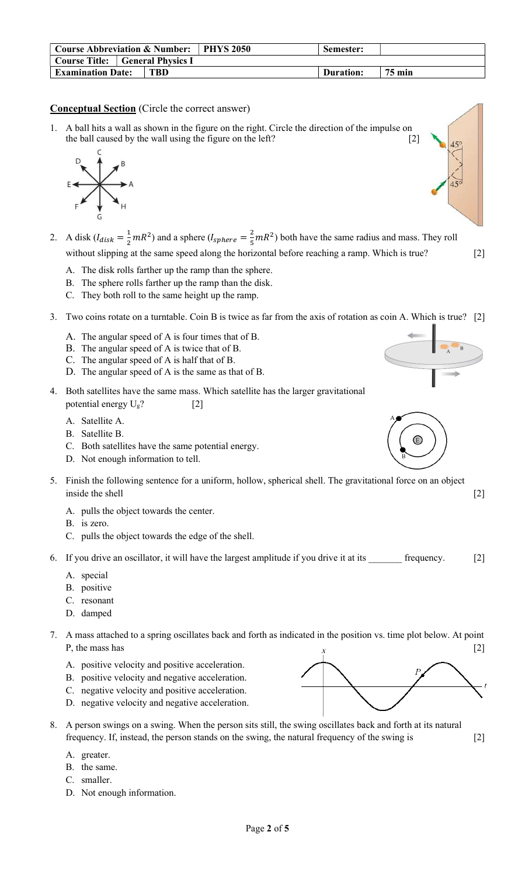| <b>Course Abbreviation &amp; Number:</b> |  | ⊩ PHYS 2050 - | Semester: |           |                  |
|------------------------------------------|--|---------------|-----------|-----------|------------------|
| <b>Course Title:</b> General Physics I   |  |               |           |           |                  |
| <b>Examination Date:</b>                 |  | TBD -         |           | Duration: | $75 \text{ min}$ |

## Conceptual Section (Circle the correct answer)

1. A ball hits a wall as shown in the figure on the right. Circle the direction of the impulse on the ball caused by the wall using the figure on the left? [2]



- 2. A disk  $(l_{disk} = \frac{1}{2})$  $\frac{1}{2}mR^2$ ) and a sphere (*I<sub>sphere</sub>* =  $\frac{2}{5}$  $\frac{2}{5}$  mR<sup>2</sup>) both have the same radius and mass. They roll without slipping at the same speed along the horizontal before reaching a ramp. Which is true? [2]
	- A. The disk rolls farther up the ramp than the sphere.
	- B. The sphere rolls farther up the ramp than the disk.
	- C. They both roll to the same height up the ramp.
- 3. Two coins rotate on a turntable. Coin B is twice as far from the axis of rotation as coin A. Which is true? [2]
	- A. The angular speed of A is four times that of B.
	- B. The angular speed of A is twice that of B.
	- C. The angular speed of A is half that of B.
	- D. The angular speed of A is the same as that of B.
- 4. Both satellites have the same mass. Which satellite has the larger gravitational potential energy  $U_g$ ? [2]
	- A. Satellite A.
	- B. Satellite B.
	- C. Both satellites have the same potential energy.
	- D. Not enough information to tell.
- 5. Finish the following sentence for a uniform, hollow, spherical shell. The gravitational force on an object inside the shell [2]
	- A. pulls the object towards the center.
	- B. is zero.
	- C. pulls the object towards the edge of the shell.
- 6. If you drive an oscillator, it will have the largest amplitude if you drive it at its  $\qquad \qquad$  frequency.  $[2]$ 
	- A. special
	- B. positive
	- C. resonant
	- D. damped
- 7. A mass attached to a spring oscillates back and forth as indicated in the position vs. time plot below. At point P, the mass has  $\begin{bmatrix} 2 \end{bmatrix}$ 
	- A. positive velocity and positive acceleration.
	- B. positive velocity and negative acceleration.
	- C. negative velocity and positive acceleration.
	- D. negative velocity and negative acceleration.
- 8. A person swings on a swing. When the person sits still, the swing oscillates back and forth at its natural frequency. If, instead, the person stands on the swing, the natural frequency of the swing is [2]
	- A. greater.
	- B. the same.
	- C. smaller.
	- D. Not enough information.





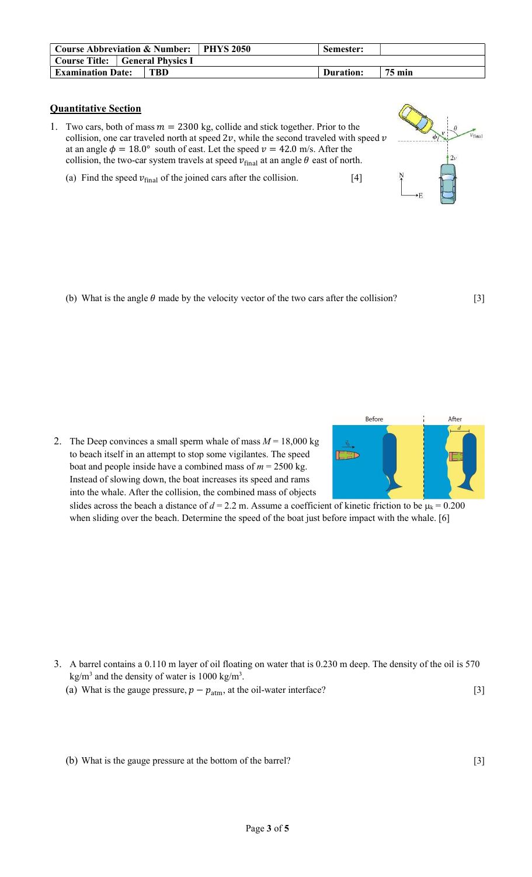| <b>Course Abbreviation &amp; Number:</b> |     | <b>PHYS 2050</b> | Semester: |        |
|------------------------------------------|-----|------------------|-----------|--------|
| <b>Course Title:</b> General Physics I   |     |                  |           |        |
| <b>Examination Date:</b>                 | TBD |                  | Duration: | 75 min |

## Quantitative Section

- 1. Two cars, both of mass  $m = 2300$  kg, collide and stick together. Prior to the collision, one car traveled north at speed  $2\nu$ , while the second traveled with speed  $\nu$ at an angle  $\phi = 18.0^{\circ}$  south of east. Let the speed  $v = 42.0$  m/s. After the collision, the two-car system travels at speed  $v_{\text{final}}$  at an angle  $\theta$  east of north.
	- (a) Find the speed  $v_{\text{final}}$  of the joined cars after the collision. [4]



(b) What is the angle  $\theta$  made by the velocity vector of the two cars after the collision? [3]

2. The Deep convinces a small sperm whale of mass  $M = 18,000$  kg to beach itself in an attempt to stop some vigilantes. The speed boat and people inside have a combined mass of  $m = 2500$  kg. Instead of slowing down, the boat increases its speed and rams into the whale. After the collision, the combined mass of objects



slides across the beach a distance of  $d = 2.2$  m. Assume a coefficient of kinetic friction to be  $\mu_k = 0.200$ when sliding over the beach. Determine the speed of the boat just before impact with the whale. [6]

- 3. A barrel contains a 0.110 m layer of oil floating on water that is 0.230 m deep. The density of the oil is 570  $\text{kg/m}^3$  and the density of water is 1000 kg/m<sup>3</sup>.
	- (a) What is the gauge pressure,  $p p_{\text{atm}}$ , at the oil-water interface? [3]

(b) What is the gauge pressure at the bottom of the barrel? [3]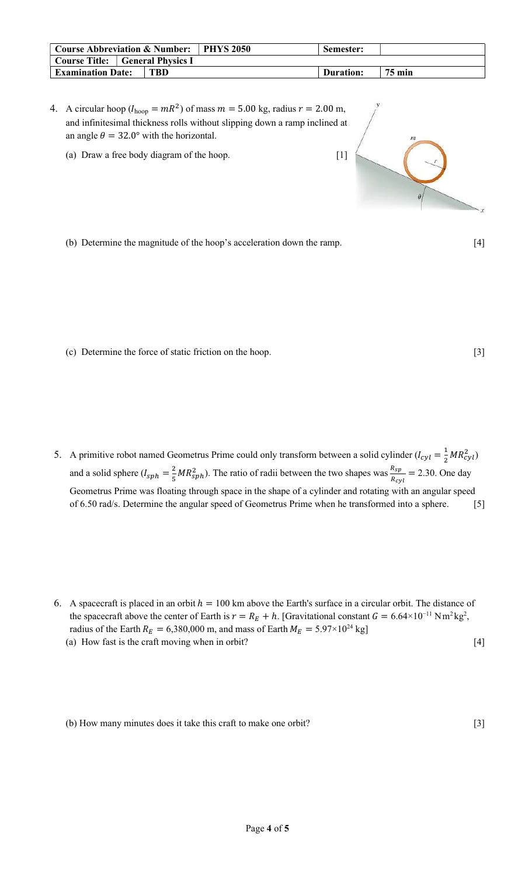| <b>Course Abbreviation &amp; Number:</b> $\vert$ |     | PHYS 2050 | Semester: |        |
|--------------------------------------------------|-----|-----------|-----------|--------|
| Course Title: General Physics I                  |     |           |           |        |
| <b>Examination Date:</b>                         | TBD |           | Duration: | 75 min |

- 4. A circular hoop ( $I_{\text{hoop}} = mR^2$ ) of mass  $m = 5.00$  kg, radius  $r = 2.00$  m, and infinitesimal thickness rolls without slipping down a ramp inclined at an angle  $\theta = 32.0^{\circ}$  with the horizontal.
	- (a) Draw a free body diagram of the hoop. [1]



(b) Determine the magnitude of the hoop's acceleration down the ramp. [4]

(c) Determine the force of static friction on the hoop. [3]

- 5. A primitive robot named Geometrus Prime could only transform between a solid cylinder  $(l_{cyl} = \frac{1}{2})$  $\frac{1}{2}MR_{cyl}^2$ and a solid sphere  $(l_{sph} = \frac{2}{5})$  $\frac{2}{5}MR_{sph}^2$ ). The ratio of radii between the two shapes was  $\frac{R_{sp}}{R_{cyl}} = 2.30$ . One day Geometrus Prime was floating through space in the shape of a cylinder and rotating with an angular speed of 6.50 rad/s. Determine the angular speed of Geometrus Prime when he transformed into a sphere. [5]
- 6. A spacecraft is placed in an orbit  $h = 100$  km above the Earth's surface in a circular orbit. The distance of the spacecraft above the center of Earth is  $r = R_E + h$ . [Gravitational constant  $G = 6.64 \times 10^{-11} \text{ N m}^2 \text{kg}^2$ , radius of the Earth  $R_E = 6,380,000$  m, and mass of Earth  $M_E = 5.97 \times 10^{24}$  kg] (a) How fast is the craft moving when in orbit? [4]

(b) How many minutes does it take this craft to make one orbit? [3]